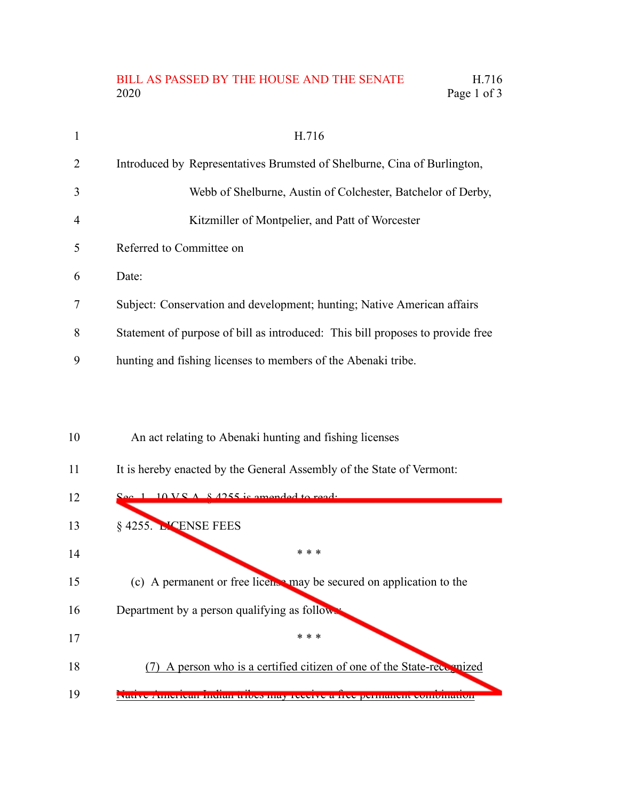## BILL AS PASSED BY THE HOUSE AND THE SENATE H.716 2020 Page 1 of 3

| $\mathbf{1}$   | H.716                                                                          |
|----------------|--------------------------------------------------------------------------------|
| 2              | Introduced by Representatives Brumsted of Shelburne, Cina of Burlington,       |
| $\overline{3}$ | Webb of Shelburne, Austin of Colchester, Batchelor of Derby,                   |
| $\overline{4}$ | Kitzmiller of Montpelier, and Patt of Worcester                                |
| 5              | Referred to Committee on                                                       |
| 6              | Date:                                                                          |
| 7              | Subject: Conservation and development; hunting; Native American affairs        |
| 8              | Statement of purpose of bill as introduced: This bill proposes to provide free |
| 9              | hunting and fishing licenses to members of the Abenaki tribe.                  |

## An act relating to Abenaki hunting and fishing licenses 10

It is hereby enacted by the General Assembly of the State of Vermont: 11

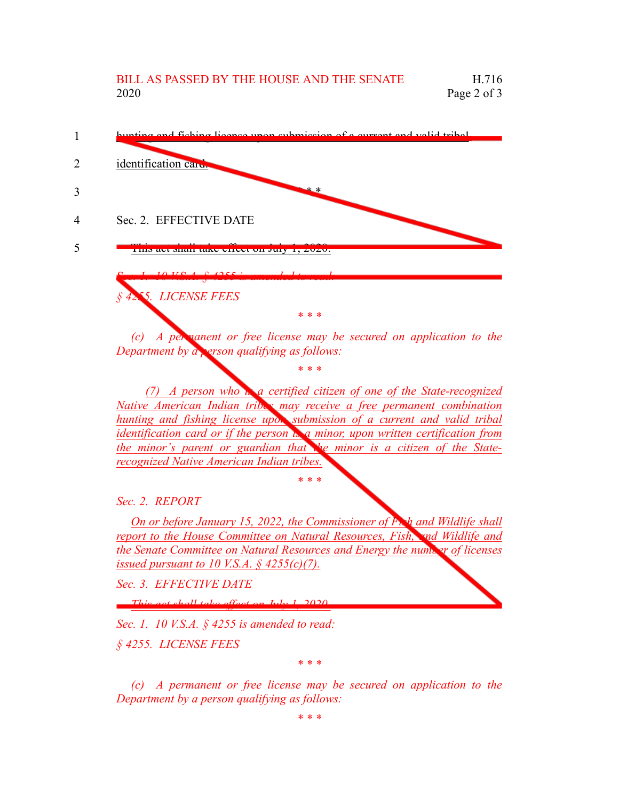

*(c) A permanent or free license may be secured on application to the Department by a person qualifying as follows:*

*\* \* \**

*(7) A person who is a certified citizen of one of the State-recognized Native American Indian tribes may receive a free permanent combination hunting and fishing license upon submission of a current and valid tribal identification card or if the person is a minor, upon written certification from the minor's parent or guardian that the minor is a citizen of the Staterecognized Native American Indian tribes.*

*\* \* \**

*Sec. 2. REPORT*

*On or before January 15, 2022, the Commissioner of Fish and Wildlife shall report to the House Committee on Natural Resources, Fish, and Wildlife and the Senate Committee on Natural Resources and Energy the number of licenses issued pursuant to 10 V.S.A. § 4255(c)(7).*

*Sec. 3. EFFECTIVE DATE*

*This act shall take effect on July 1, 2020.*

*Sec. 1. 10 V.S.A. § 4255 is amended to read:*

*§ 4255. LICENSE FEES*

*\* \* \**

*(c) A permanent or free license may be secured on application to the Department by a person qualifying as follows:*

*\* \* \**